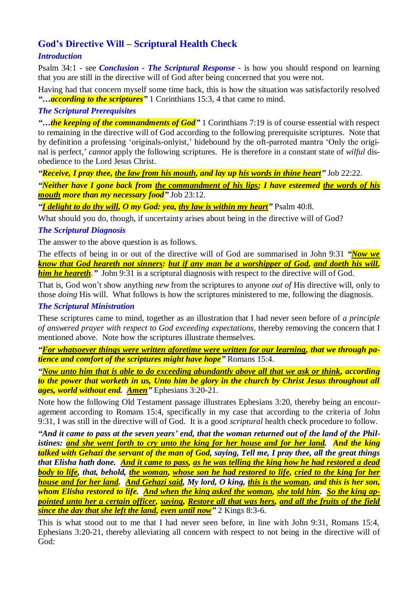# **God's Directive Will – Scriptural Health Check**

## *Introduction*

Psalm 34:1 - see *Conclusion - The Scriptural Response* - is how you should respond on learning that you are still in the directive will of God after being concerned that you were not.

Having had that concern myself some time back, this is how the situation was satisfactorily resolved *"…according to the scriptures"* 1 Corinthians 15:3, 4 that came to mind.

#### *The Scriptural Prerequisites*

*"…the keeping of the commandments of God"* 1 Corinthians 7:19 is of course essential with respect to remaining in the directive will of God according to the following prerequisite scriptures. Note that by definition a professing 'originals-onlyist,' hidebound by the oft-parroted mantra 'Only the original is perfect,' *cannot* apply the following scriptures. He is therefore in a constant state of *wilful* disobedience to the Lord Jesus Christ.

*"Receive, I pray thee, the law from his mouth, and lay up his words in thine heart"* Job 22:22.

*"Neither have I gone back from the commandment of his lips; I have esteemed the words of his mouth more than my necessary food"* Job 23:12.

*"I delight to do thy will, O my God: yea, thy law is within my heart"* Psalm 40:8.

What should you do, though, if uncertainty arises about being in the directive will of God?

### *The Scriptural Diagnosis*

The answer to the above question is as follows.

The effects of being in or out of the directive will of God are summarised in John 9:31 *"Now we know that God heareth not sinners: but if any man be a worshipper of God, and doeth his will, him he heareth*." John 9:31 is a scriptural diagnosis with respect to the directive will of God.

That is, God won't show anything *new* from the scriptures to anyone *out of* His directive will, only to those *doing* His will. What follows is how the scriptures ministered to me, following the diagnosis.

#### *The Scriptural Ministration*

These scriptures came to mind, together as an illustration that I had never seen before of *a principle of answered prayer with respect to God exceeding expectations*, thereby removing the concern that I mentioned above. Note how the scriptures illustrate themselves.

*"For whatsoever things were written aforetime were written for our learning, that we through patience and comfort of the scriptures might have hope"* Romans 15:4.

*"Now unto him that is able to do exceeding abundantly above all that we ask or think, according to the power that worketh in us, Unto him be glory in the church by Christ Jesus throughout all ages, world without end. Amen"* Ephesians 3:20-21.

Note how the following Old Testament passage illustrates Ephesians 3:20, thereby being an encouragement according to Romans 15:4, specifically in my case that according to the criteria of John 9:31, I was still in the directive will of God. It is a good *scriptural* health check procedure to follow.

*"And it came to pass at the seven years' end, that the woman returned out of the land of the Philistines: and she went forth to cry unto the king for her house and for her land. And the king talked with Gehazi the servant of the man of God, saying, Tell me, I pray thee, all the great things that Elisha hath done. And it came to pass, as he was telling the king how he had restored a dead body to life, that, behold, the woman, whose son he had restored to life, cried to the king for her house and for her land. And Gehazi said, My lord, O king, this is the woman, and this is her son, whom Elisha restored to life. And when the king asked the woman, she told him. So the king appointed unto her a certain officer, saying, Restore all that was hers, and all the fruits of the field since the day that she left the land, even until now"* 2 Kings 8:3-6.

This is what stood out to me that I had never seen before, in line with John 9:31, Romans 15:4, Ephesians 3:20-21, thereby alleviating all concern with respect to not being in the directive will of God: